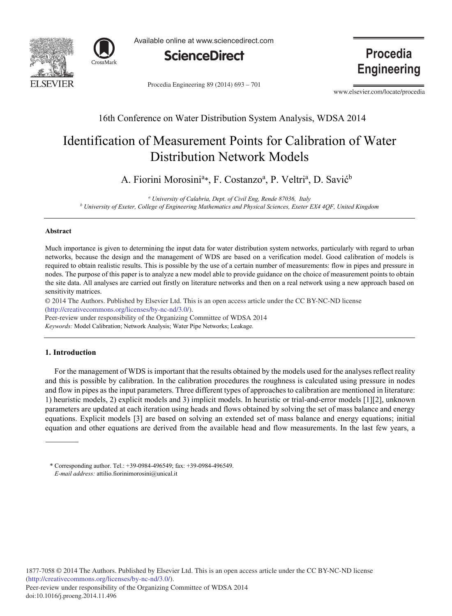



Available online at www.sciencedirect.com



Procedia Engineering 89 (2014) 693 - 701

**Procedia Engineering** 

www.elsevier.com/locate/procedia

# 16th Conference on Water Distribution System Analysis, WDSA 2014

# Identification of Measurement Points for Calibration of Water Distribution Network Models

A. Fiorini Morosini<sup>a</sup>\*, F. Costanzo<sup>a</sup>, P. Veltri<sup>a</sup>, D. Savić<sup>b</sup>

*<sup>a</sup> University of Calabria, Dept. of Civil Eng, Rende 87036, Italy <sup>b</sup> University of Exeter, College of Engineering Mathematics and Physical Sciences, Exeter EX4 4QF, United Kingdom* 

# **Abstract**

Much importance is given to determining the input data for water distribution system networks, particularly with regard to urban networks, because the design and the management of WDS are based on a verification model. Good calibration of models is required to obtain realistic results. This is possible by the use of a certain number of measurements: flow in pipes and pressure in nodes. The purpose of this paper is to analyze a new model able to provide guidance on the choice of measurement points to obtain the site data. All analyses are carried out firstly on literature networks and then on a real network using a new approach based on sensitivity matrices.

© 2014 The Authors. Published by Elsevier Ltd. © 2014 The Authors. Published by Elsevier Ltd. This is an open access article under the CC BY-NC-ND license (http://creativecommons.org/licenses/by-nc-nd/3.0/).

*Keywords:* Model Calibration; Network Analysis; Water Pipe Networks; Leakage. Peer-review under responsibility of the Organizing Committee of WDSA 2014

## **1. Introduction**

For the management of WDS is important that the results obtained by the models used for the analyses reflect reality and this is possible by calibration. In the calibration procedures the roughness is calculated using pressure in nodes and flow in pipes as the input parameters. Three different types of approaches to calibration are mentioned in literature: 1) heuristic models, 2) explicit models and 3) implicit models. In heuristic or trial-and-error models [1][2], unknown parameters are updated at each iteration using heads and flows obtained by solving the set of mass balance and energy equations. Explicit models [3] are based on solving an extended set of mass balance and energy equations; initial equation and other equations are derived from the available head and flow measurements. In the last few years, a

<sup>\*</sup> Corresponding author. Tel.: +39-0984-496549; fax: +39-0984-496549. *E-mail address:* attilio.fiorinimorosini@unical.it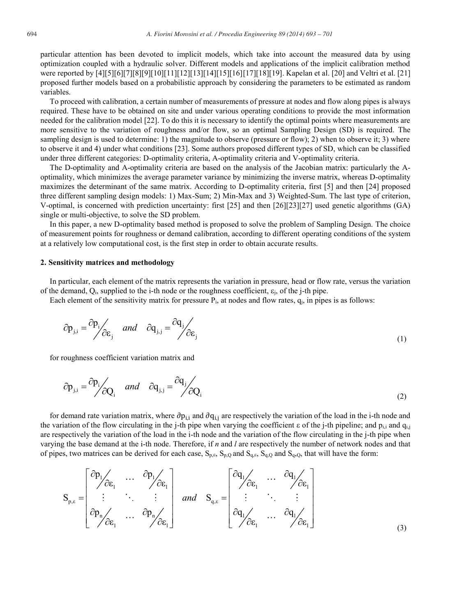particular attention has been devoted to implicit models, which take into account the measured data by using optimization coupled with a hydraulic solver. Different models and applications of the implicit calibration method were reported by [4][5][6][7][8][9][10][11][12][13][14][15][16][17][18][19]. Kapelan et al. [20] and Veltri et al. [21] proposed further models based on a probabilistic approach by considering the parameters to be estimated as random variables.

To proceed with calibration, a certain number of measurements of pressure at nodes and flow along pipes is always required. These have to be obtained on site and under various operating conditions to provide the most information needed for the calibration model [22]. To do this it is necessary to identify the optimal points where measurements are more sensitive to the variation of roughness and/or flow, so an optimal Sampling Design (SD) is required. The sampling design is used to determine: 1) the magnitude to observe (pressure or flow); 2) when to observe it; 3) where to observe it and 4) under what conditions [23]. Some authors proposed different types of SD, which can be classified under three different categories: D-optimality criteria, A-optimality criteria and V-optimality criteria.

The D-optimality and A-optimality criteria are based on the analysis of the Jacobian matrix: particularly the Aoptimality, which minimizes the average parameter variance by minimizing the inverse matrix, whereas D-optimality maximizes the determinant of the same matrix. According to D-optimality criteria, first [5] and then [24] proposed three different sampling design models: 1) Max-Sum; 2) Min-Max and 3) Weighted-Sum. The last type of criterion, V-optimal, is concerned with prediction uncertainty: first [25] and then [26][23][27] used genetic algorithms (GA) single or multi-objective, to solve the SD problem.

In this paper, a new D-optimality based method is proposed to solve the problem of Sampling Design. The choice of measurement points for roughness or demand calibration, according to different operating conditions of the system at a relatively low computational cost, is the first step in order to obtain accurate results.

#### **2. Sensitivity matrices and methodology**

In particular, each element of the matrix represents the variation in pressure, head or flow rate, versus the variation of the demand,  $Q_i$ , supplied to the i-th node or the roughness coefficient,  $\varepsilon_i$ , of the j-th pipe.

Each element of the sensitivity matrix for pressure  $P_i$ , at nodes and flow rates,  $q_i$ , in pipes is as follows:

$$
\partial \mathbf{p}_{j,i} = \frac{\partial \mathbf{p}_i}{\partial \varepsilon_j} \quad \text{and} \quad \partial \mathbf{q}_{j,j} = \frac{\partial \mathbf{q}_j}{\partial \varepsilon_j} \tag{1}
$$

for roughness coefficient variation matrix and

$$
\partial \mathbf{p}_{j,i} = \frac{\partial \mathbf{p}_i}{\partial Q_i} \quad \text{and} \quad \partial \mathbf{q}_{j,j} = \frac{\partial \mathbf{q}_j}{\partial Q_i}
$$
 (2)

for demand rate variation matrix, where  $\partial p_{i,j}$  and  $\partial q_{i,j}$  are respectively the variation of the load in the i-th node and the variation of the flow circulating in the j-th pipe when varying the coefficient  $\varepsilon$  of the j-th pipeline; and  $p_{i,i}$  and  $q_{i,j}$ are respectively the variation of the load in the i-th node and the variation of the flow circulating in the j-th pipe when varying the base demand at the i-th node. Therefore, if *n* and *l* are respectively the number of network nodes and that of pipes, two matrices can be derived for each case,  $S_{p,\varepsilon}$ ,  $S_{p,\varepsilon}$  and  $S_{q,\varepsilon}$ ,  $S_{q,\varepsilon}$  and  $S_{q,\varepsilon}$ , that will have the form:

$$
S_{p,\varepsilon} = \begin{bmatrix} \frac{\partial p_1}{\partial \varepsilon_1} & \cdots & \frac{\partial p_l}{\partial \varepsilon_l} \\ \vdots & \ddots & \vdots \\ \frac{\partial p_n}{\partial \varepsilon_1} & \cdots & \frac{\partial p_n}{\partial \varepsilon_l} \end{bmatrix} \quad and \quad S_{q,\varepsilon} = \begin{bmatrix} \frac{\partial q_1}{\partial \varepsilon_1} & \cdots & \frac{\partial q_l}{\partial \varepsilon_l} \\ \vdots & \ddots & \vdots \\ \frac{\partial q_l}{\partial \varepsilon_l} & \cdots & \frac{\partial q_l}{\partial \varepsilon_l} \end{bmatrix}
$$
 (3)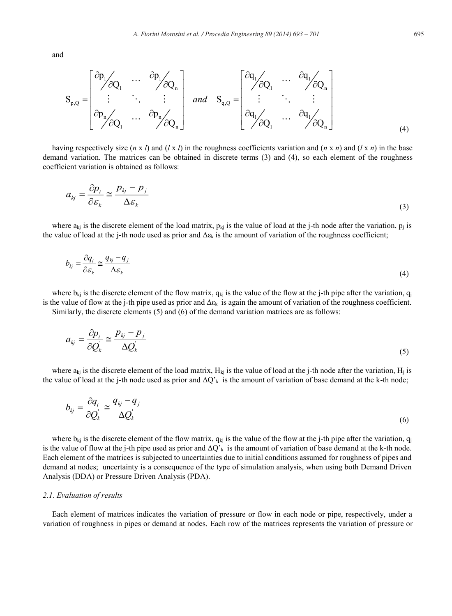and

$$
S_{p,Q} = \begin{bmatrix} \frac{\partial p_1}{\partial Q_1} & \cdots & \frac{\partial p_l}{\partial Q_n} \\ \vdots & \ddots & \vdots \\ \frac{\partial p_n}{\partial Q_1} & \cdots & \frac{\partial p_n}{\partial Q_n} \end{bmatrix} \quad and \quad S_{q,Q} = \begin{bmatrix} \frac{\partial q_1}{\partial Q_1} & \cdots & \frac{\partial q_l}{\partial Q_n} \\ \vdots & \ddots & \vdots \\ \frac{\partial q_l}{\partial Q_l} & \cdots & \frac{\partial q_l}{\partial Q_n} \end{bmatrix}
$$

having respectively size  $(n \times l)$  and  $(l \times l)$  in the roughness coefficients variation and  $(n \times n)$  and  $(l \times n)$  in the base demand variation. The matrices can be obtained in discrete terms (3) and (4), so each element of the roughness coefficient variation is obtained as follows:

$$
a_{kj} = \frac{\partial p_i}{\partial \varepsilon_k} \cong \frac{p_{kj} - p_j}{\Delta \varepsilon_k} \tag{3}
$$

where  $a_{ki}$  is the discrete element of the load matrix,  $p_{ki}$  is the value of load at the j-th node after the variation,  $p_i$  is the value of load at the j-th node used as prior and  $\Delta \epsilon_k$  is the amount of variation of the roughness coefficient;

$$
b_{kj} = \frac{\partial q_i}{\partial \mathcal{E}_k} \approx \frac{q_{kj} - q_j}{\Delta \mathcal{E}_k} \tag{4}
$$

where  $b_{ki}$  is the discrete element of the flow matrix,  $q_{ki}$  is the value of the flow at the j-th pipe after the variation,  $q_i$ is the value of flow at the j-th pipe used as prior and  $\Delta \varepsilon_k$  is again the amount of variation of the roughness coefficient. Similarly, the discrete elements (5) and (6) of the demand variation matrices are as follows:

$$
a_{kj} = \frac{\partial p_i}{\partial Q_k} \cong \frac{p_{kj} - p_j}{\Delta Q_k} \tag{5}
$$

where  $a_{ki}$  is the discrete element of the load matrix,  $H_{ki}$  is the value of load at the j-th node after the variation,  $H_i$  is the value of load at the j-th node used as prior and  $\Delta Q_k$  is the amount of variation of base demand at the k-th node;

$$
b_{kj} = \frac{\partial q_i}{\partial Q_k} \cong \frac{q_{kj} - q_j}{\Delta Q_k} \tag{6}
$$

where  $b_{kj}$  is the discrete element of the flow matrix,  $q_{kj}$  is the value of the flow at the j-th pipe after the variation,  $q_{ij}$ is the value of flow at the j-th pipe used as prior and  $\Delta Q'_{k}$  is the amount of variation of base demand at the k-th node. Each element of the matrices is subjected to uncertainties due to initial conditions assumed for roughness of pipes and demand at nodes; uncertainty is a consequence of the type of simulation analysis, when using both Demand Driven Analysis (DDA) or Pressure Driven Analysis (PDA).

#### *2.1. Evaluation of results*

Each element of matrices indicates the variation of pressure or flow in each node or pipe, respectively, under a variation of roughness in pipes or demand at nodes. Each row of the matrices represents the variation of pressure or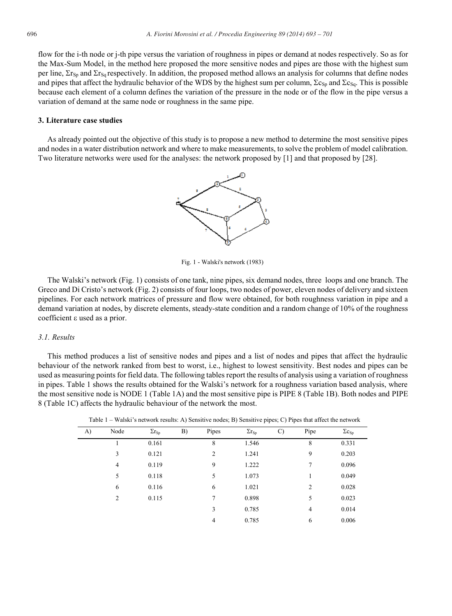flow for the i-th node or j-th pipe versus the variation of roughness in pipes or demand at nodes respectively. So as for the Max-Sum Model, in the method here proposed the more sensitive nodes and pipes are those with the highest sum per line,  $\Sigma$ <sub>Sp</sub> and  $\Sigma$ <sub>Sq</sub> respectively. In addition, the proposed method allows an analysis for columns that define nodes and pipes that affect the hydraulic behavior of the WDS by the highest sum per column,  $\Sigma c_{\text{So}}$  and  $\Sigma c_{\text{So}}$ . This is possible because each element of a column defines the variation of the pressure in the node or of the flow in the pipe versus a variation of demand at the same node or roughness in the same pipe.

#### **3. Literature case studies**

As already pointed out the objective of this study is to propose a new method to determine the most sensitive pipes and nodes in a water distribution network and where to make measurements, to solve the problem of model calibration. Two literature networks were used for the analyses: the network proposed by [1] and that proposed by [28].



Fig. 1 - Walski's network (1983)

The Walski's network (Fig. 1) consists of one tank, nine pipes, six demand nodes, three loops and one branch. The Greco and Di Cristo's network (Fig. 2) consists of four loops, two nodes of power, eleven nodes of delivery and sixteen pipelines. For each network matrices of pressure and flow were obtained, for both roughness variation in pipe and a demand variation at nodes, by discrete elements, steady-state condition and a random change of 10% of the roughness coefficient  $\varepsilon$  used as a prior.

#### *3.1. Results*

This method produces a list of sensitive nodes and pipes and a list of nodes and pipes that affect the hydraulic behaviour of the network ranked from best to worst, i.e., highest to lowest sensitivity. Best nodes and pipes can be used as measuring points for field data. The following tables report the results of analysis using a variation of roughness in pipes. Table 1 shows the results obtained for the Walski's network for a roughness variation based analysis, where the most sensitive node is NODE 1 (Table 1A) and the most sensitive pipe is PIPE 8 (Table 1B). Both nodes and PIPE 8 (Table 1C) affects the hydraulic behaviour of the network the most.

| A) | Node           | $\Sigma r_{Sp}$ | B) | Pipes          | $\Sigma r_{Sp}$ | $\mathcal{C}$ | Pipe           | $\Sigma c_{Sp}$ |
|----|----------------|-----------------|----|----------------|-----------------|---------------|----------------|-----------------|
|    | 1              | 0.161           |    | 8              | 1.546           |               | 8              | 0.331           |
|    | 3              | 0.121           |    | $\overline{2}$ | 1.241           |               | 9              | 0.203           |
|    | 4              | 0.119           |    | 9              | 1.222           |               | 7              | 0.096           |
|    | 5              | 0.118           |    | 5              | 1.073           |               | 1              | 0.049           |
|    | 6              | 0.116           |    | 6              | 1.021           |               | $\overline{2}$ | 0.028           |
|    | $\overline{2}$ | 0.115           |    | 7              | 0.898           |               | 5              | 0.023           |
|    |                |                 |    | 3              | 0.785           |               | 4              | 0.014           |
|    |                |                 |    | $\overline{4}$ | 0.785           |               | 6              | 0.006           |

Table 1 – Walski's network results: A) Sensitive nodes; B) Sensitive pipes; C) Pipes that affect the network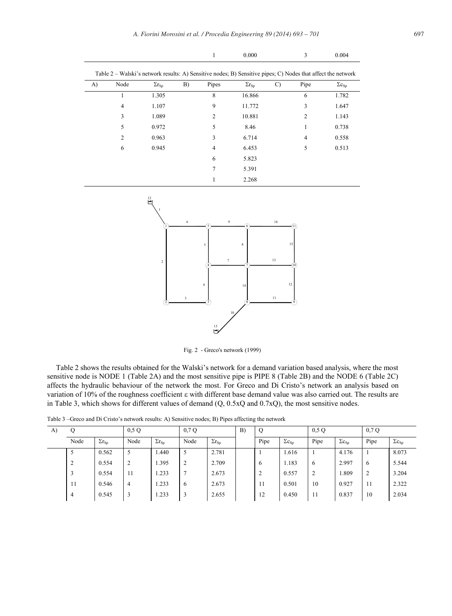| A) | Node           | $\Sigma r_{Sp}$ | B) | Pipes | $\Sigma r_{Sp}$ | $\mathcal{C}$ | Pipe | $\Sigma c_{Sp}$ |
|----|----------------|-----------------|----|-------|-----------------|---------------|------|-----------------|
|    | 1              | 1.305           |    | 8     | 16.866          |               | 6    | 1.782           |
|    | $\overline{4}$ | 1.107           |    | 9     | 11.772          |               | 3    | 1.647           |
|    | 3              | 1.089           |    | 2     | 10.881          |               | 2    | 1.143           |
|    | 5              | 0.972           |    | 5     | 8.46            |               |      | 0.738           |
|    | $\overline{c}$ | 0.963           |    | 3     | 6.714           |               | 4    | 0.558           |
|    | 6              | 0.945           |    | 4     | 6.453           |               | 5    | 0.513           |
|    |                |                 |    | 6     | 5.823           |               |      |                 |
|    |                |                 |    | 7     | 5.391           |               |      |                 |
|    |                |                 |    |       | 2.268           |               |      |                 |



Fig. 2 - Greco's network (1999)

Table 2 shows the results obtained for the Walski's network for a demand variation based analysis, where the most sensitive node is NODE 1 (Table 2A) and the most sensitive pipe is PIPE 8 (Table 2B) and the NODE 6 (Table 2C) affects the hydraulic behaviour of the network the most. For Greco and Di Cristo's network an analysis based on variation of 10% of the roughness coefficient  $\varepsilon$  with different base demand value was also carried out. The results are in Table 3, which shows for different values of demand (Q, 0.5xQ and 0.7xQ), the most sensitive nodes.

| A) |                    |                 | 0.5 Q          |                        | 0,7Q               |                 | B) |                 |                 | 0.5Q                   |                  | 0.7Q           |                 |
|----|--------------------|-----------------|----------------|------------------------|--------------------|-----------------|----|-----------------|-----------------|------------------------|------------------|----------------|-----------------|
|    | Node               | $\Sigma r_{Sp}$ | Node           | $\Sigma r_{\text{Sp}}$ | Node               | $\Sigma r_{Sp}$ |    | Pipe            | $\Sigma c_{Sp}$ | Pipe                   | $\Sigma c_{S_D}$ | Pipe           | $\Sigma c_{Sp}$ |
|    |                    | 0.562           | 5              | 1.440                  | 5                  | 2.781           |    |                 | 1.616           |                        | 4.176            |                | 8.073           |
|    | $\mathcal{L}$<br>∠ | 0.554           | 2              | 1.395                  | $\mathcal{L}$<br>∠ | 2.709           |    | $\ddot{\sigma}$ | 1.183           | $\mathbf{6}$           | 2.997            | 6              | 5.544           |
|    |                    | 0.554           | 11             | 1.233                  | ⇁                  | 2.673           |    | ∠               | 0.557           | $\mathbf{\hat{}}$<br>∠ | 1.809            | $\overline{2}$ | 3.204           |
|    | 11                 | 0.546           | $\overline{4}$ | 1.233                  | 6                  | 2.673           |    | 11              | 0.501           | 10                     | 0.927            | -11            | 2.322           |
|    | 4                  | 0.545           | $\overline{3}$ | 1.233                  | 3                  | 2.655           |    | 12              | 0.450           | 11                     | 0.837            | 10             | 2.034           |

Table 3 –Greco and Di Cristo's network results: A) Sensitive nodes; B) Pipes affecting the network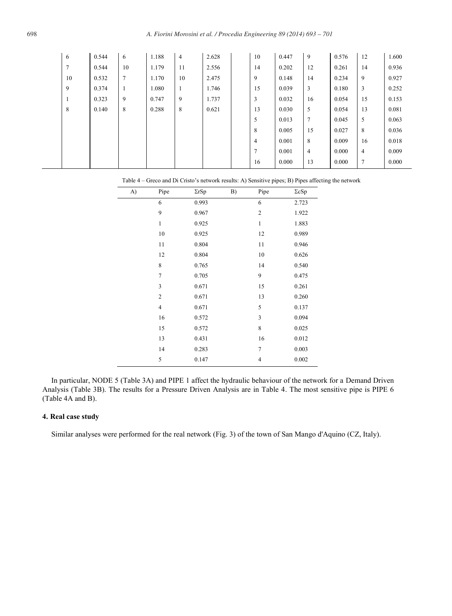| 6  | 0.544 | 6  | 1.188 | $\overline{4}$ | 2.628 | 10             | 0.447 | 9              | 0.576 | 12             | 1.600 |
|----|-------|----|-------|----------------|-------|----------------|-------|----------------|-------|----------------|-------|
| 7  | 0.544 | 10 | 1.179 | 11             | 2.556 | 14             | 0.202 | 12             | 0.261 | 14             | 0.936 |
| 10 | 0.532 | 7  | 1.170 | 10             | 2.475 | 9              | 0.148 | 14             | 0.234 | 9              | 0.927 |
| 9  | 0.374 | -1 | 1.080 | 1              | 1.746 | 15             | 0.039 | 3              | 0.180 | 3              | 0.252 |
| л. | 0.323 | 9  | 0.747 | 9              | 1.737 | 3              | 0.032 | 16             | 0.054 | 15             | 0.153 |
| 8  | 0.140 | 8  | 0.288 | 8              | 0.621 | 13             | 0.030 | 5              | 0.054 | 13             | 0.081 |
|    |       |    |       |                |       | 5              | 0.013 | 7              | 0.045 | 5              | 0.063 |
|    |       |    |       |                |       | 8              | 0.005 | 15             | 0.027 | 8              | 0.036 |
|    |       |    |       |                |       | $\overline{4}$ | 0.001 | 8              | 0.009 | 16             | 0.018 |
|    |       |    |       |                |       | 7              | 0.001 | $\overline{4}$ | 0.000 | $\overline{4}$ | 0.009 |
|    |       |    |       |                |       | 16             | 0.000 | 13             | 0.000 | 7              | 0.000 |

| Table 4 – Greco and Di Cristo's network results: A) Sensitive pipes; B) Pipes affecting the network |
|-----------------------------------------------------------------------------------------------------|
|-----------------------------------------------------------------------------------------------------|

| A) | Pipe           | $\Sigma rSp$ | B) | Pipe           | $\Sigma cSp$ |
|----|----------------|--------------|----|----------------|--------------|
|    | 6              | 0.993        |    | 6              | 2.723        |
|    | 9              | 0.967        |    | $\overline{c}$ | 1.922        |
|    | $\mathbf{1}$   | 0.925        |    | $\mathbf{1}$   | 1.883        |
|    | 10             | 0.925        |    | 12             | 0.989        |
|    | 11             | 0.804        |    | 11             | 0.946        |
|    | 12             | 0.804        |    | 10             | 0.626        |
|    | 8              | 0.765        |    | 14             | 0.540        |
|    | $\overline{7}$ | 0.705        |    | 9              | 0.475        |
|    | 3              | 0.671        |    | 15             | 0.261        |
|    | $\overline{2}$ | 0.671        |    | 13             | 0.260        |
|    | $\overline{4}$ | 0.671        |    | 5              | 0.137        |
|    | 16             | 0.572        |    | 3              | 0.094        |
|    | 15             | 0.572        |    | 8              | 0.025        |
|    | 13             | 0.431        |    | 16             | 0.012        |
|    | 14             | 0.283        |    | 7              | 0.003        |
|    | 5              | 0.147        |    | $\overline{4}$ | 0.002        |

In particular, NODE 5 (Table 3A) and PIPE 1 affect the hydraulic behaviour of the network for a Demand Driven Analysis (Table 3B). The results for a Pressure Driven Analysis are in Table 4. The most sensitive pipe is PIPE 6 (Table 4A and B).

## **4. Real case study**

Similar analyses were performed for the real network (Fig. 3) of the town of San Mango d'Aquino (CZ, Italy).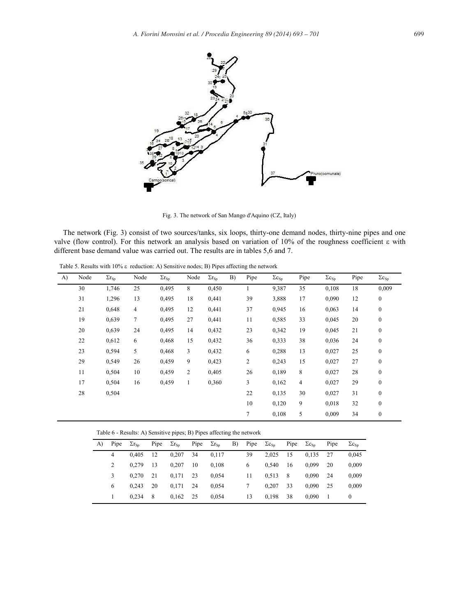

Fig. 3. The network of San Mango d'Aquino (CZ, Italy)

The network (Fig. 3) consist of two sources/tanks, six loops, thirty-one demand nodes, thirty-nine pipes and one valve (flow control). For this network an analysis based on variation of 10% of the roughness coefficient  $\varepsilon$  with different base demand value was carried out. The results are in tables 5,6 and 7.

Table 5. Results with 10%  $\varepsilon$  reduction: A) Sensitive nodes; B) Pipes affecting the network

| A) | Node | $\Sigma r_{Sp}$ | Node   | $\Sigma r_{Sp}$ | Node           | $\Sigma r_{Sp}$ | B) | Pipe           | $\Sigma c_{Sp}$ | Pipe           | $\Sigma c_{Sp}$ | Pipe | $\Sigma c_{Sp}$  |
|----|------|-----------------|--------|-----------------|----------------|-----------------|----|----------------|-----------------|----------------|-----------------|------|------------------|
|    | 30   | 1,746           | 25     | 0,495           | 8              | 0,450           |    | 1              | 9,387           | 35             | 0,108           | 18   | 0,009            |
|    | 31   | 1,296           | 13     | 0,495           | 18             | 0,441           |    | 39             | 3,888           | 17             | 0,090           | 12   | $\boldsymbol{0}$ |
|    | 21   | 0,648           | 4      | 0,495           | 12             | 0,441           |    | 37             | 0,945           | 16             | 0,063           | 14   | $\boldsymbol{0}$ |
|    | 19   | 0,639           | $\tau$ | 0,495           | 27             | 0,441           |    | 11             | 0,585           | 33             | 0,045           | 20   | $\boldsymbol{0}$ |
|    | 20   | 0,639           | 24     | 0,495           | 14             | 0,432           |    | 23             | 0,342           | 19             | 0,045           | 21   | $\boldsymbol{0}$ |
|    | 22   | 0,612           | 6      | 0,468           | 15             | 0,432           |    | 36             | 0,333           | 38             | 0,036           | 24   | $\boldsymbol{0}$ |
|    | 23   | 0,594           | 5      | 0,468           | 3              | 0,432           |    | 6              | 0,288           | 13             | 0,027           | 25   | $\boldsymbol{0}$ |
|    | 29   | 0,549           | 26     | 0,459           | 9              | 0,423           |    | $\overline{c}$ | 0,243           | 15             | 0,027           | 27   | $\boldsymbol{0}$ |
|    | 11   | 0,504           | 10     | 0,459           | $\overline{2}$ | 0,405           |    | 26             | 0,189           | 8              | 0,027           | 28   | $\boldsymbol{0}$ |
|    | 17   | 0,504           | 16     | 0,459           | 1              | 0,360           |    | 3              | 0,162           | $\overline{4}$ | 0,027           | 29   | $\boldsymbol{0}$ |
|    | 28   | 0,504           |        |                 |                |                 |    | 22             | 0,135           | 30             | 0,027           | 31   | $\boldsymbol{0}$ |
|    |      |                 |        |                 |                |                 |    | 10             | 0,120           | 9              | 0,018           | 32   | $\boldsymbol{0}$ |
|    |      |                 |        |                 |                |                 |    | 7              | 0,108           | 5              | 0,009           | 34   | $\boldsymbol{0}$ |

Table 6 - Results: A) Sensitive pipes; B) Pipes affecting the network

| A) | Pipe           | $\Sigma r_{Sn}$ | Pipe $\Sigma r_{\rm Sp}$ |            | Pipe $\Sigma r_{\rm Sn}$ |       | B) Pipe $\Sigma c_{Sp}$ |       | Pipe $\Sigma c_{Sn}$ |       | Pipe | $\Sigma c_{\text{Sn}}$ |
|----|----------------|-----------------|--------------------------|------------|--------------------------|-------|-------------------------|-------|----------------------|-------|------|------------------------|
|    | $\overline{4}$ | 0.405           | <sup>12</sup>            | 0.207      | 34                       | 0.117 | 39                      | 2.025 | 15                   | 0.135 | 27   | 0,045                  |
|    |                | 0.279           | -13                      | 0.207      | - 10                     | 0.108 | 6                       | 0.540 | -16                  | 0.099 | 20   | 0,009                  |
|    |                | 0.270           | 21                       | $0,171$ 23 |                          | 0.054 | 11                      | 0.513 | - 8                  | 0.090 | - 24 | 0,009                  |
|    | 6              | 0.243           | -20                      | $0,171$ 24 |                          | 0.054 |                         | 0.207 | -33                  | 0.090 | - 25 | 0.009                  |
|    |                | 0.234           | - 8                      | $0,162$ 25 |                          | 0.054 | 13                      | 0.198 | -38                  | 0.090 | - 1  | 0                      |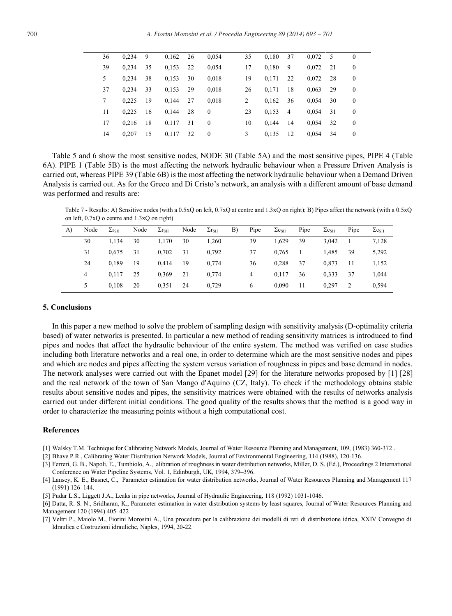| 36 | 0.234 | 9   | $0,162$ 26 |      | 0,054          | 35 | 0,180 37 |                | 0,072 | - 5 | $\mathbf{0}$   |
|----|-------|-----|------------|------|----------------|----|----------|----------------|-------|-----|----------------|
| 39 | 0.234 | 35  | 0,153      | 22   | 0,054          | 17 | 0,180    | - 9            | 0,072 | 21  | $\overline{0}$ |
| 5. | 0.234 | 38  | 0,153      | 30   | 0,018          | 19 | 0,171    | 22             | 0,072 | -28 | $\bf{0}$       |
| 37 | 0.234 | 33  | 0,153      | 29   | 0,018          | 26 | 0.171    | -18            | 0,063 | 29  | $\mathbf{0}$   |
| 7  | 0.225 | 19  | 0.144      | - 27 | 0,018          | 2  | 0,162    | 36             | 0,054 | 30  | $\overline{0}$ |
| 11 | 0.225 | -16 | 0.144      | 28   | $\mathbf{0}$   | 23 | 0,153    | $\overline{4}$ | 0,054 | 31  | $\mathbf{0}$   |
| 17 | 0.216 | 18  | 0,117      | 31   | $\overline{0}$ | 10 | 0.144    | - 14           | 0.054 | 32  | $\mathbf{0}$   |
| 14 | 0.207 | -15 | 0,117      | 32   | $\bf{0}$       | 3  | 0,135    | - 12           | 0,054 | 34  | $\bf{0}$       |
|    |       |     |            |      |                |    |          |                |       |     |                |

Table 5 and 6 show the most sensitive nodes, NODE 30 (Table 5A) and the most sensitive pipes, PIPE 4 (Table 6A). PIPE 1 (Table 5B) is the most affecting the network hydraulic behaviour when a Pressure Driven Analysis is carried out, whereas PIPE 39 (Table 6B) is the most affecting the network hydraulic behaviour when a Demand Driven Analysis is carried out. As for the Greco and Di Cristo's network, an analysis with a different amount of base demand was performed and results are:

Table 7 - Results: A) Sensitive nodes (with a 0.5xQ on left, 0.7xQ at centre and 1.3xQ on right); B) Pipes affect the network (with a 0.5xQ on left, 0.7xQ o centre and 1.3xQ on right)

| A) | Node          | $\Sigma r_{\rm SH}$ | Node | $\Sigma r_{\rm SH}$ | Node | $\Sigma r_{\rm SH}$ | B) | Pipe | $\Sigma c_{\rm SH}$ | Pipe | $\Sigma c_{SH}$ | Pipe | $\Sigma c_{SH}$ |
|----|---------------|---------------------|------|---------------------|------|---------------------|----|------|---------------------|------|-----------------|------|-----------------|
|    | 30            | 1.134               | 30   | 1,170               | 30   | 1,260               |    | 39   | 1.629               | 39   | 3,042           |      | 7,128           |
|    | 31            | 0.675               | 31   | 0,702               | 31   | 0,792               |    | 37   | 0.765               |      | 1,485           | 39   | 5,292           |
|    | 24            | 0.189               | 19   | 0.414               | 19   | 0.774               |    | 36   | 0.288               | 37   | 0.873           | -11  | 1,152           |
|    | 4             | 0.117               | 25   | 0,369               | 21   | 0.774               |    | 4    | 0.117               | 36   | 0,333           | 37   | 1.044           |
|    | $\mathcal{L}$ | 0.108               | 20   | 0.351               | 24   | 0,729               |    | 6    | 0,090               | 11   | 0.297           | 2    | 0,594           |

# **5. Conclusions**

In this paper a new method to solve the problem of sampling design with sensitivity analysis (D-optimality criteria based) of water networks is presented. In particular a new method of reading sensitivity matrices is introduced to find pipes and nodes that affect the hydraulic behaviour of the entire system. The method was verified on case studies including both literature networks and a real one, in order to determine which are the most sensitive nodes and pipes and which are nodes and pipes affecting the system versus variation of roughness in pipes and base demand in nodes. The network analyses were carried out with the Epanet model [29] for the literature networks proposed by [1] [28] and the real network of the town of San Mango d'Aquino (CZ, Italy). To check if the methodology obtains stable results about sensitive nodes and pipes, the sensitivity matrices were obtained with the results of networks analysis carried out under different initial conditions. The good quality of the results shows that the method is a good way in order to characterize the measuring points without a high computational cost.

#### **References**

[1] Walsky T.M. Technique for Calibrating Network Models, Journal of Water Resource Planning and Management, 109, (1983) 360-372 .

[2] Bhave P.R., Calibrating Water Distribution Network Models, Journal of Environmental Engineering, 114 (1988), 120-136.

- [3] Ferreri, G. B., Napoli, E., Tumbiolo, A., alibration of roughness in water distribution networks, Miller, D. S. (Ed.), Proceedings 2 International Conference on Water Pipeline Systems, Vol. 1, Edinburgh, UK, 1994, 379–396.
- [4] Lansey, K. E., Basnet, C., Parameter estimation for water distribution networks, Journal of Water Resources Planning and Management 117 (1991) 126–144.
- [5] Pudar L.S., Liggett J.A., Leaks in pipe networks, Journal of Hydraulic Engineering, 118 (1992) 1031-1046.
- [6] Datta, R. S. N., Sridharan, K., Parameter estimation in water distribution systems by least squares, Journal of Water Resources Planning and Management 120 (1994) 405–422
- [7] Veltri P., Maiolo M., Fiorini Morosini A., Una procedura per la calibrazione dei modelli di reti di distribuzione idrica, XXIV Convegno di Idraulica e Costruzioni idrauliche, Naples, 1994, 20-22.